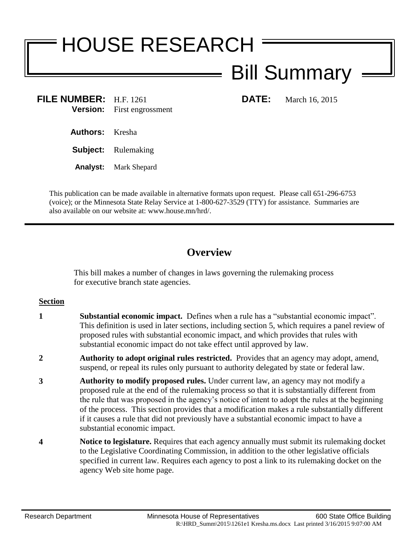# HOUSE RESEARCH Bill Summary

### **FILE NUMBER:** H.F. 1261 **DATE:** March 16, 2015 **Version:** First engrossment

**Authors:** Kresha

**Subject:** Rulemaking

**Analyst:** Mark Shepard

This publication can be made available in alternative formats upon request. Please call 651-296-6753 (voice); or the Minnesota State Relay Service at 1-800-627-3529 (TTY) for assistance. Summaries are also available on our website at: www.house.mn/hrd/.

## **Overview**

This bill makes a number of changes in laws governing the rulemaking process for executive branch state agencies.

#### **Section**

- **1 Substantial economic impact.** Defines when a rule has a "substantial economic impact". This definition is used in later sections, including section 5, which requires a panel review of proposed rules with substantial economic impact, and which provides that rules with substantial economic impact do not take effect until approved by law.
- **2 Authority to adopt original rules restricted.** Provides that an agency may adopt, amend, suspend, or repeal its rules only pursuant to authority delegated by state or federal law.
- **3 Authority to modify proposed rules.** Under current law, an agency may not modify a proposed rule at the end of the rulemaking process so that it is substantially different from the rule that was proposed in the agency's notice of intent to adopt the rules at the beginning of the process. This section provides that a modification makes a rule substantially different if it causes a rule that did not previously have a substantial economic impact to have a substantial economic impact.
- **4 Notice to legislature.** Requires that each agency annually must submit its rulemaking docket to the Legislative Coordinating Commission, in addition to the other legislative officials specified in current law. Requires each agency to post a link to its rulemaking docket on the agency Web site home page.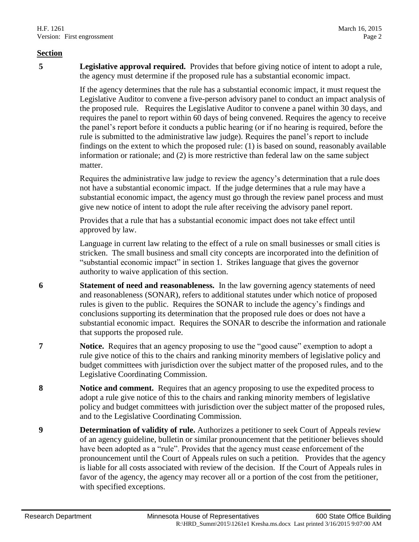#### **Section**

**5 Legislative approval required.** Provides that before giving notice of intent to adopt a rule, the agency must determine if the proposed rule has a substantial economic impact.

> If the agency determines that the rule has a substantial economic impact, it must request the Legislative Auditor to convene a five-person advisory panel to conduct an impact analysis of the proposed rule. Requires the Legislative Auditor to convene a panel within 30 days, and requires the panel to report within 60 days of being convened. Requires the agency to receive the panel's report before it conducts a public hearing (or if no hearing is required, before the rule is submitted to the administrative law judge). Requires the panel's report to include findings on the extent to which the proposed rule: (1) is based on sound, reasonably available information or rationale; and (2) is more restrictive than federal law on the same subject matter.

Requires the administrative law judge to review the agency's determination that a rule does not have a substantial economic impact. If the judge determines that a rule may have a substantial economic impact, the agency must go through the review panel process and must give new notice of intent to adopt the rule after receiving the advisory panel report.

Provides that a rule that has a substantial economic impact does not take effect until approved by law.

Language in current law relating to the effect of a rule on small businesses or small cities is stricken. The small business and small city concepts are incorporated into the definition of "substantial economic impact" in section 1. Strikes language that gives the governor authority to waive application of this section.

- **6 Statement of need and reasonableness.** In the law governing agency statements of need and reasonableness (SONAR), refers to additional statutes under which notice of proposed rules is given to the public. Requires the SONAR to include the agency's findings and conclusions supporting its determination that the proposed rule does or does not have a substantial economic impact. Requires the SONAR to describe the information and rationale that supports the proposed rule.
- **7 Notice.** Requires that an agency proposing to use the "good cause" exemption to adopt a rule give notice of this to the chairs and ranking minority members of legislative policy and budget committees with jurisdiction over the subject matter of the proposed rules, and to the Legislative Coordinating Commission.
- **8 Notice and comment.** Requires that an agency proposing to use the expedited process to adopt a rule give notice of this to the chairs and ranking minority members of legislative policy and budget committees with jurisdiction over the subject matter of the proposed rules, and to the Legislative Coordinating Commission.
- **9 Determination of validity of rule.** Authorizes a petitioner to seek Court of Appeals review of an agency guideline, bulletin or similar pronouncement that the petitioner believes should have been adopted as a "rule". Provides that the agency must cease enforcement of the pronouncement until the Court of Appeals rules on such a petition. Provides that the agency is liable for all costs associated with review of the decision. If the Court of Appeals rules in favor of the agency, the agency may recover all or a portion of the cost from the petitioner, with specified exceptions.